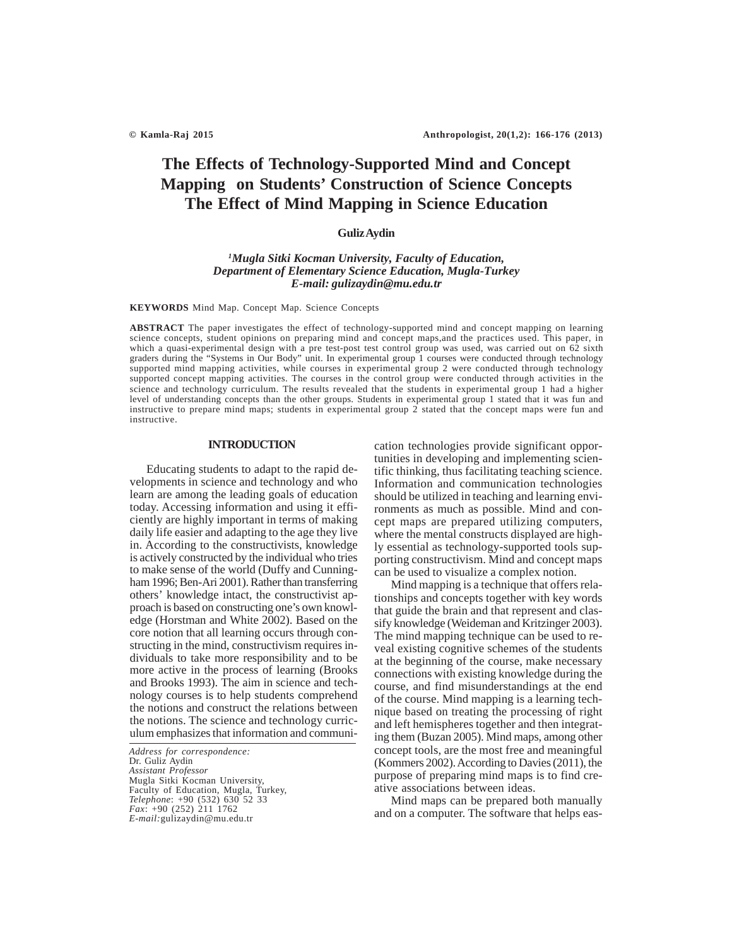# **The Effects of Technology-Supported Mind and Concept Mapping on Students' Construction of Science Concepts The Effect of Mind Mapping in Science Education**

### **Guliz Aydin**

# *1 Mugla Sitki Kocman University, Faculty of Education, Department of Elementary Science Education, Mugla-Turkey E-mail: gulizaydin@mu.edu.tr*

**KEYWORDS** Mind Map. Concept Map. Science Concepts

**ABSTRACT** The paper investigates the effect of technology-supported mind and concept mapping on learning science concepts, student opinions on preparing mind and concept maps,and the practices used. This paper, in which a quasi-experimental design with a pre test-post test control group was used, was carried out on 62 sixth graders during the "Systems in Our Body" unit. In experimental group 1 courses were conducted through technology supported mind mapping activities, while courses in experimental group 2 were conducted through technology supported concept mapping activities. The courses in the control group were conducted through activities in the science and technology curriculum. The results revealed that the students in experimental group 1 had a higher level of understanding concepts than the other groups. Students in experimental group 1 stated that it was fun and instructive to prepare mind maps; students in experimental group 2 stated that the concept maps were fun and instructive.

#### **INTRODUCTION**

Educating students to adapt to the rapid developments in science and technology and who learn are among the leading goals of education today. Accessing information and using it efficiently are highly important in terms of making daily life easier and adapting to the age they live in. According to the constructivists, knowledge is actively constructed by the individual who tries to make sense of the world (Duffy and Cunningham 1996; Ben-Ari 2001). Rather than transferring others' knowledge intact, the constructivist approach is based on constructing one's own knowledge (Horstman and White 2002). Based on the core notion that all learning occurs through constructing in the mind, constructivism requires individuals to take more responsibility and to be more active in the process of learning (Brooks and Brooks 1993). The aim in science and technology courses is to help students comprehend the notions and construct the relations between the notions. The science and technology curriculum emphasizes that information and communi-

*Address for correspondence:* Dr. Guliz Aydin *Assistant Professor* Mugla Sitki Kocman University, Faculty of Education, Mugla, Turkey, *Telephone*: +90 (532) 630 52 33 *Fax*: +90 (252) 211 1762 *E-mail:*gulizaydin@mu.edu.tr

cation technologies provide significant opportunities in developing and implementing scientific thinking, thus facilitating teaching science. Information and communication technologies should be utilized in teaching and learning environments as much as possible. Mind and concept maps are prepared utilizing computers, where the mental constructs displayed are highly essential as technology-supported tools supporting constructivism. Mind and concept maps can be used to visualize a complex notion.

Mind mapping is a technique that offers relationships and concepts together with key words that guide the brain and that represent and classify knowledge (Weideman and Kritzinger 2003). The mind mapping technique can be used to reveal existing cognitive schemes of the students at the beginning of the course, make necessary connections with existing knowledge during the course, and find misunderstandings at the end of the course. Mind mapping is a learning technique based on treating the processing of right and left hemispheres together and then integrating them (Buzan 2005). Mind maps, among other concept tools, are the most free and meaningful (Kommers 2002). According to Davies (2011), the purpose of preparing mind maps is to find creative associations between ideas.

Mind maps can be prepared both manually and on a computer. The software that helps eas-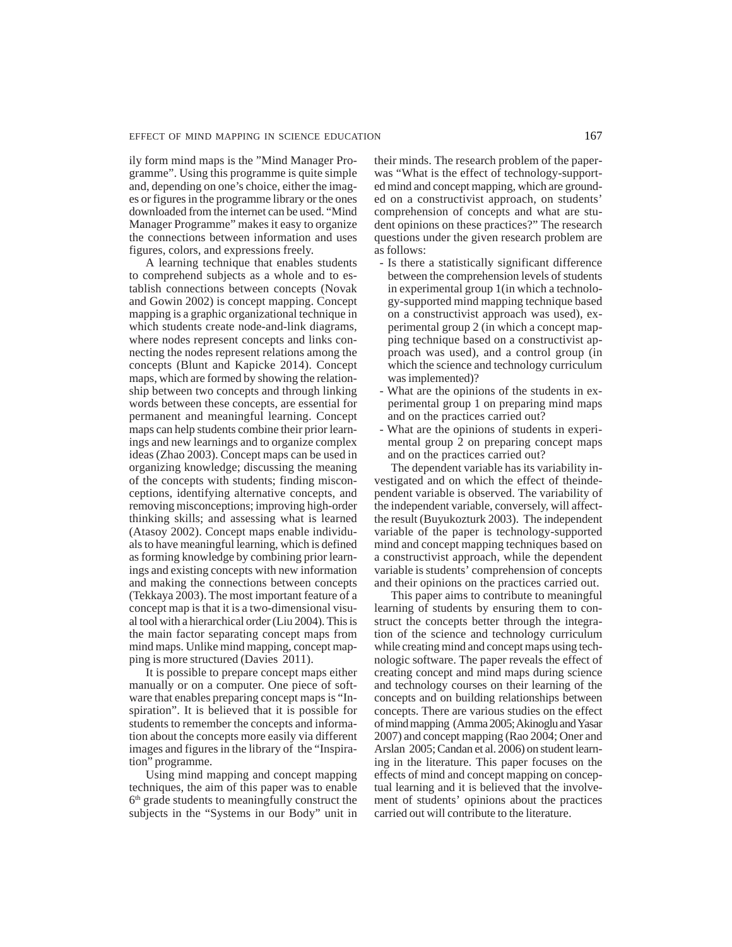ily form mind maps is the "Mind Manager Programme". Using this programme is quite simple and, depending on one's choice, either the images or figures in the programme library or the ones downloaded from the internet can be used. "Mind Manager Programme" makes it easy to organize the connections between information and uses figures, colors, and expressions freely.

A learning technique that enables students to comprehend subjects as a whole and to establish connections between concepts (Novak and Gowin 2002) is concept mapping. Concept mapping is a graphic organizational technique in which students create node-and-link diagrams, where nodes represent concepts and links connecting the nodes represent relations among the concepts (Blunt and Kapicke 2014). Concept maps, which are formed by showing the relationship between two concepts and through linking words between these concepts, are essential for permanent and meaningful learning. Concept maps can help students combine their prior learnings and new learnings and to organize complex ideas (Zhao 2003). Concept maps can be used in organizing knowledge; discussing the meaning of the concepts with students; finding misconceptions, identifying alternative concepts, and removing misconceptions; improving high-order thinking skills; and assessing what is learned (Atasoy 2002). Concept maps enable individuals to have meaningful learning, which is defined as forming knowledge by combining prior learnings and existing concepts with new information and making the connections between concepts (Tekkaya 2003). The most important feature of a concept map is that it is a two-dimensional visual tool with a hierarchical order (Liu 2004). This is the main factor separating concept maps from mind maps. Unlike mind mapping, concept mapping is more structured (Davies 2011).

It is possible to prepare concept maps either manually or on a computer. One piece of software that enables preparing concept maps is "Inspiration". It is believed that it is possible for students to remember the concepts and information about the concepts more easily via different images and figures in the library of the "Inspiration" programme.

Using mind mapping and concept mapping techniques, the aim of this paper was to enable  $6<sup>th</sup>$  grade students to meaningfully construct the subjects in the "Systems in our Body" unit in their minds. The research problem of the paperwas "What is the effect of technology-supported mind and concept mapping, which are grounded on a constructivist approach, on students' comprehension of concepts and what are student opinions on these practices?" The research questions under the given research problem are as follows:

- Is there a statistically significant difference between the comprehension levels of students in experimental group 1(in which a technology-supported mind mapping technique based on a constructivist approach was used), experimental group 2 (in which a concept mapping technique based on a constructivist approach was used), and a control group (in which the science and technology curriculum was implemented)?
- What are the opinions of the students in experimental group 1 on preparing mind maps and on the practices carried out?
- What are the opinions of students in experimental group 2 on preparing concept maps and on the practices carried out?

The dependent variable has its variability investigated and on which the effect of theindependent variable is observed. The variability of the independent variable, conversely, will affectthe result (Buyukozturk 2003). The independent variable of the paper is technology-supported mind and concept mapping techniques based on a constructivist approach, while the dependent variable is students' comprehension of concepts and their opinions on the practices carried out.

This paper aims to contribute to meaningful learning of students by ensuring them to construct the concepts better through the integration of the science and technology curriculum while creating mind and concept maps using technologic software. The paper reveals the effect of creating concept and mind maps during science and technology courses on their learning of the concepts and on building relationships between concepts. There are various studies on the effect of mind mapping (Amma 2005; Akinoglu and Yasar 2007) and concept mapping (Rao 2004; Oner and Arslan 2005; Candan et al. 2006) on student learning in the literature. This paper focuses on the effects of mind and concept mapping on conceptual learning and it is believed that the involvement of students' opinions about the practices carried out will contribute to the literature.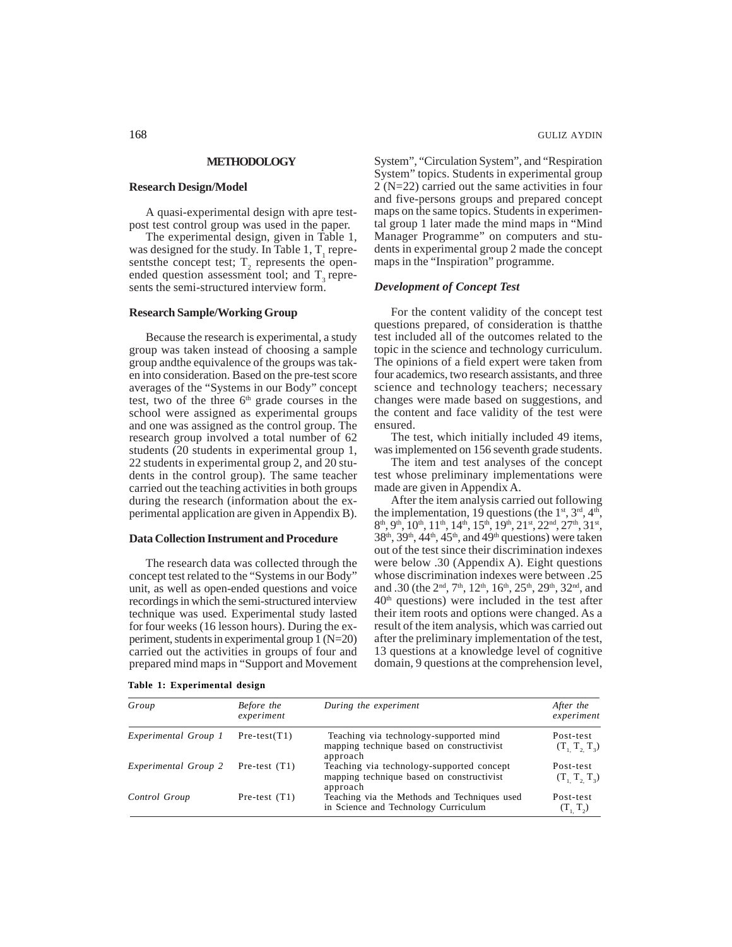# **METHODOLOGY**

# **Research Design/Model**

A quasi-experimental design with apre testpost test control group was used in the paper.

The experimental design, given in Table 1, was designed for the study. In Table 1,  $T_1$  representsthe concept test;  $T_2$  represents the openended question assessment tool; and  $T<sub>3</sub>$  represents the semi-structured interview form.

# **Research Sample/Working Group**

Because the research is experimental, a study group was taken instead of choosing a sample group andthe equivalence of the groups was taken into consideration. Based on the pre-test score averages of the "Systems in our Body" concept test, two of the three  $6<sup>th</sup>$  grade courses in the school were assigned as experimental groups and one was assigned as the control group. The research group involved a total number of 62 students (20 students in experimental group 1, 22 students in experimental group 2, and 20 students in the control group). The same teacher carried out the teaching activities in both groups during the research (information about the experimental application are given in Appendix B).

# **Data Collection Instrument and Procedure**

The research data was collected through the concept test related to the "Systems in our Body" unit, as well as open-ended questions and voice recordings in which the semi-structured interview technique was used. Experimental study lasted for four weeks (16 lesson hours). During the experiment, students in experimental group 1 (N=20) carried out the activities in groups of four and prepared mind maps in "Support and Movement System", "Circulation System", and "Respiration System" topics. Students in experimental group 2 (N=22) carried out the same activities in four and five-persons groups and prepared concept maps on the same topics. Students in experimental group 1 later made the mind maps in "Mind Manager Programme" on computers and students in experimental group 2 made the concept maps in the "Inspiration" programme.

#### *Development of Concept Test*

For the content validity of the concept test questions prepared, of consideration is thatthe test included all of the outcomes related to the topic in the science and technology curriculum. The opinions of a field expert were taken from four academics, two research assistants, and three science and technology teachers; necessary changes were made based on suggestions, and the content and face validity of the test were ensured.

The test, which initially included 49 items, was implemented on 156 seventh grade students.

The item and test analyses of the concept test whose preliminary implementations were made are given in Appendix A.

After the item analysis carried out following the implementation, 19 questions (the  $1<sup>st</sup>$ ,  $3<sup>rd</sup>$ ,  $4<sup>th</sup>$ ),  $8<sup>th</sup>$ ,  $9<sup>th</sup>$ ,  $10<sup>th</sup>$ ,  $11<sup>th</sup>$ ,  $14<sup>th</sup>$ ,  $15<sup>th</sup>$ ,  $19<sup>th</sup>$ ,  $21<sup>st</sup>$ ,  $22<sup>nd</sup>$ ,  $27<sup>th</sup>$ ,  $31<sup>st</sup>$ ,  $38<sup>th</sup>$ ,  $39<sup>th</sup>$ ,  $44<sup>th</sup>$ ,  $45<sup>th</sup>$ , and  $49<sup>th</sup>$  questions) were taken out of the test since their discrimination indexes were below .30 (Appendix A). Eight questions whose discrimination indexes were between .25 and .30 (the 2<sup>nd</sup>, 7<sup>th</sup>, 12<sup>th</sup>, 16<sup>th</sup>, 25<sup>th</sup>, 29<sup>th</sup>, 32<sup>nd</sup>, and  $40<sup>th</sup>$  questions) were included in the test after their item roots and options were changed. As a result of the item analysis, which was carried out after the preliminary implementation of the test, 13 questions at a knowledge level of cognitive domain, 9 questions at the comprehension level,

| Table 1: Experimental design |  |
|------------------------------|--|
|------------------------------|--|

| Group                | Before the<br>experiment | During the experiment                                                                              | After the<br>experiment        |
|----------------------|--------------------------|----------------------------------------------------------------------------------------------------|--------------------------------|
| Experimental Group 1 | $Pre-test(T1)$           | Teaching via technology-supported mind<br>mapping technique based on constructivist<br>approach    | Post-test<br>(T, T, T)         |
| Experimental Group 2 | Pre-test $(T1)$          | Teaching via technology-supported concept<br>mapping technique based on constructivist<br>approach | Post-test<br>$(T_1, T_2, T_3)$ |
| Control Group        | Pre-test $(T1)$          | Teaching via the Methods and Techniques used<br>in Science and Technology Curriculum               | Post-test<br>(T, T, )          |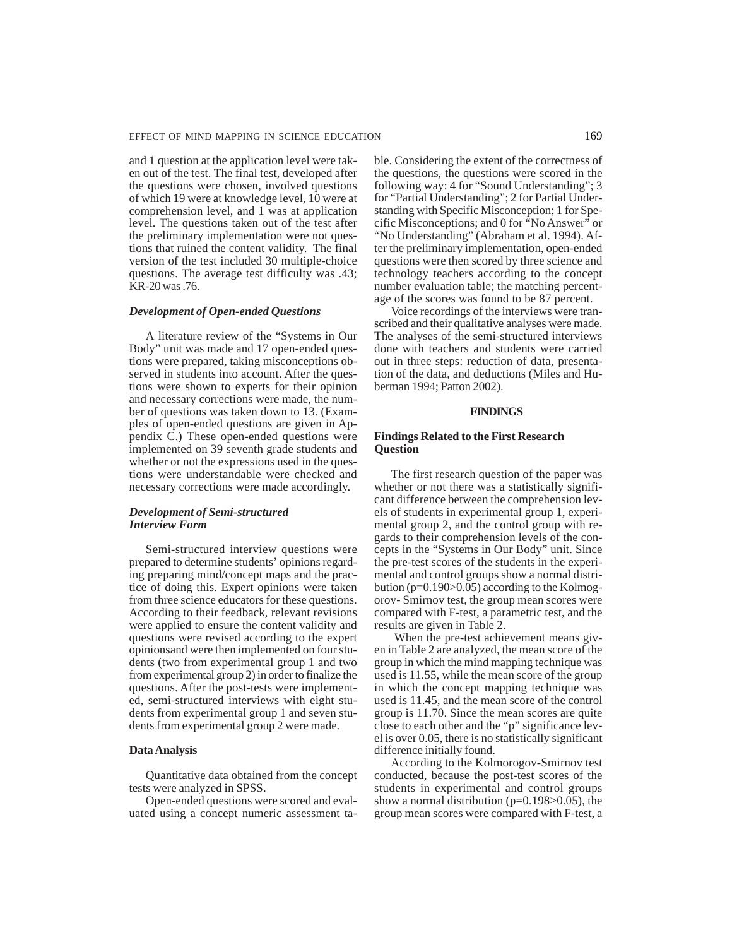and 1 question at the application level were taken out of the test. The final test, developed after the questions were chosen, involved questions of which 19 were at knowledge level, 10 were at comprehension level, and 1 was at application level. The questions taken out of the test after the preliminary implementation were not questions that ruined the content validity. The final version of the test included 30 multiple-choice questions. The average test difficulty was .43; KR-20 was .76.

#### *Development of Open-ended Questions*

A literature review of the "Systems in Our Body" unit was made and 17 open-ended questions were prepared, taking misconceptions observed in students into account. After the questions were shown to experts for their opinion and necessary corrections were made, the number of questions was taken down to 13. (Examples of open-ended questions are given in Appendix C.) These open-ended questions were implemented on 39 seventh grade students and whether or not the expressions used in the questions were understandable were checked and necessary corrections were made accordingly.

# *Development of Semi-structured Interview Form*

Semi-structured interview questions were prepared to determine students' opinions regarding preparing mind/concept maps and the practice of doing this. Expert opinions were taken from three science educators for these questions. According to their feedback, relevant revisions were applied to ensure the content validity and questions were revised according to the expert opinionsand were then implemented on four students (two from experimental group 1 and two from experimental group 2) in order to finalize the questions. After the post-tests were implemented, semi-structured interviews with eight students from experimental group 1 and seven students from experimental group 2 were made.

#### **Data Analysis**

Quantitative data obtained from the concept tests were analyzed in SPSS.

Open-ended questions were scored and evaluated using a concept numeric assessment table. Considering the extent of the correctness of the questions, the questions were scored in the following way: 4 for "Sound Understanding"; 3 for "Partial Understanding"; 2 for Partial Understanding with Specific Misconception; 1 for Specific Misconceptions; and 0 for "No Answer" or "No Understanding" (Abraham et al. 1994). After the preliminary implementation, open-ended questions were then scored by three science and technology teachers according to the concept number evaluation table; the matching percentage of the scores was found to be 87 percent.

Voice recordings of the interviews were transcribed and their qualitative analyses were made. The analyses of the semi-structured interviews done with teachers and students were carried out in three steps: reduction of data, presentation of the data, and deductions (Miles and Huberman 1994; Patton 2002).

#### **FINDINGS**

### **Findings Related to the First Research Question**

The first research question of the paper was whether or not there was a statistically significant difference between the comprehension levels of students in experimental group 1, experimental group 2, and the control group with regards to their comprehension levels of the concepts in the "Systems in Our Body" unit. Since the pre-test scores of the students in the experimental and control groups show a normal distribution (p=0.190>0.05) according to the Kolmogorov- Smirnov test, the group mean scores were compared with F-test, a parametric test, and the results are given in Table 2.

 When the pre-test achievement means given in Table 2 are analyzed, the mean score of the group in which the mind mapping technique was used is 11.55, while the mean score of the group in which the concept mapping technique was used is 11.45, and the mean score of the control group is 11.70. Since the mean scores are quite close to each other and the "p" significance level is over 0.05, there is no statistically significant difference initially found.

According to the Kolmorogov-Smirnov test conducted, because the post-test scores of the students in experimental and control groups show a normal distribution ( $p=0.198>0.05$ ), the group mean scores were compared with F-test, a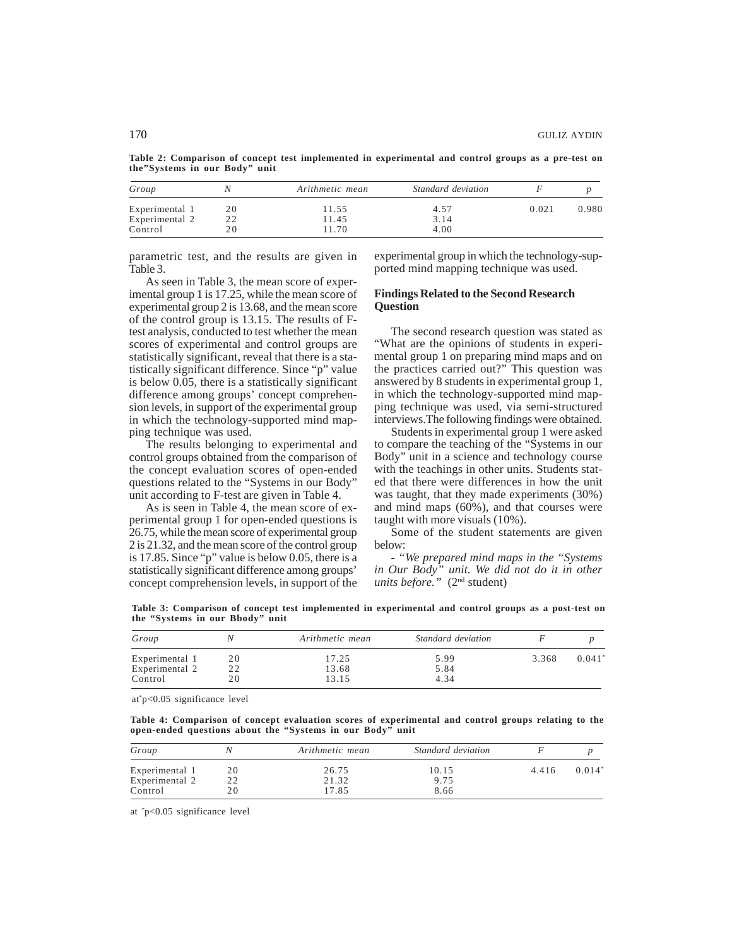**Table 2: Comparison of concept test implemented in experimental and control groups as a pre-test on the"Systems in our Body" unit**

| Group          |    | Arithmetic mean | Standard deviation |       |       |  |
|----------------|----|-----------------|--------------------|-------|-------|--|
| Experimental 1 | 20 | 11.55           | 4.57               | 0.021 | 0.980 |  |
| Experimental 2 | 22 | 11.45           | 3.14               |       |       |  |
| Control        | 20 | 11.70           | 4.00               |       |       |  |

parametric test, and the results are given in Table 3.

As seen in Table 3, the mean score of experimental group 1 is 17.25, while the mean score of experimental group 2 is 13.68, and the mean score of the control group is 13.15. The results of Ftest analysis, conducted to test whether the mean scores of experimental and control groups are statistically significant, reveal that there is a statistically significant difference. Since "p" value is below 0.05, there is a statistically significant difference among groups' concept comprehension levels, in support of the experimental group in which the technology-supported mind mapping technique was used.

The results belonging to experimental and control groups obtained from the comparison of the concept evaluation scores of open-ended questions related to the "Systems in our Body" unit according to F-test are given in Table 4.

As is seen in Table 4, the mean score of experimental group 1 for open-ended questions is 26.75, while the mean score of experimental group 2 is 21.32, and the mean score of the control group is 17.85. Since "p" value is below 0.05, there is a statistically significant difference among groups' concept comprehension levels, in support of the experimental group in which the technology-supported mind mapping technique was used.

# **Findings Related to the Second Research Question**

The second research question was stated as "What are the opinions of students in experimental group 1 on preparing mind maps and on the practices carried out?" This question was answered by 8 students in experimental group 1, in which the technology-supported mind mapping technique was used, via semi-structured interviews.The following findings were obtained.

Students in experimental group 1 were asked to compare the teaching of the "Systems in our Body" unit in a science and technology course with the teachings in other units. Students stated that there were differences in how the unit was taught, that they made experiments (30%) and mind maps (60%), and that courses were taught with more visuals (10%).

Some of the student statements are given below:

*- "We prepared mind maps in the "Systems in Our Body" unit. We did not do it in other units before."* (2nd student)

**Table 3: Comparison of concept test implemented in experimental and control groups as a post-test on the "Systems in our Bbody" unit**

| Group          |    | Arithmetic mean | Standard deviation |       |          |
|----------------|----|-----------------|--------------------|-------|----------|
| Experimental 1 | 20 | 17.25           | 5.99               | 3.368 | $0.041*$ |
| Experimental 2 | 22 | 13.68           | 5.84               |       |          |
| Control        | 20 | 13.15           | 4.34               |       |          |

at\* p<0.05 significance level

**Table 4: Comparison of concept evaluation scores of experimental and control groups relating to the open-ended questions about the "Systems in our Body" unit**

| Group          |    | Arithmetic mean | Standard deviation |       |          |  |
|----------------|----|-----------------|--------------------|-------|----------|--|
| Experimental 1 | 20 | 26.75           | 10.15              | 4.416 | $0.014*$ |  |
| Experimental 2 | 22 | 21.32           | 9.75               |       |          |  |
| Control        | 20 | 17.85           | 8.66               |       |          |  |

at \* p<0.05 significance level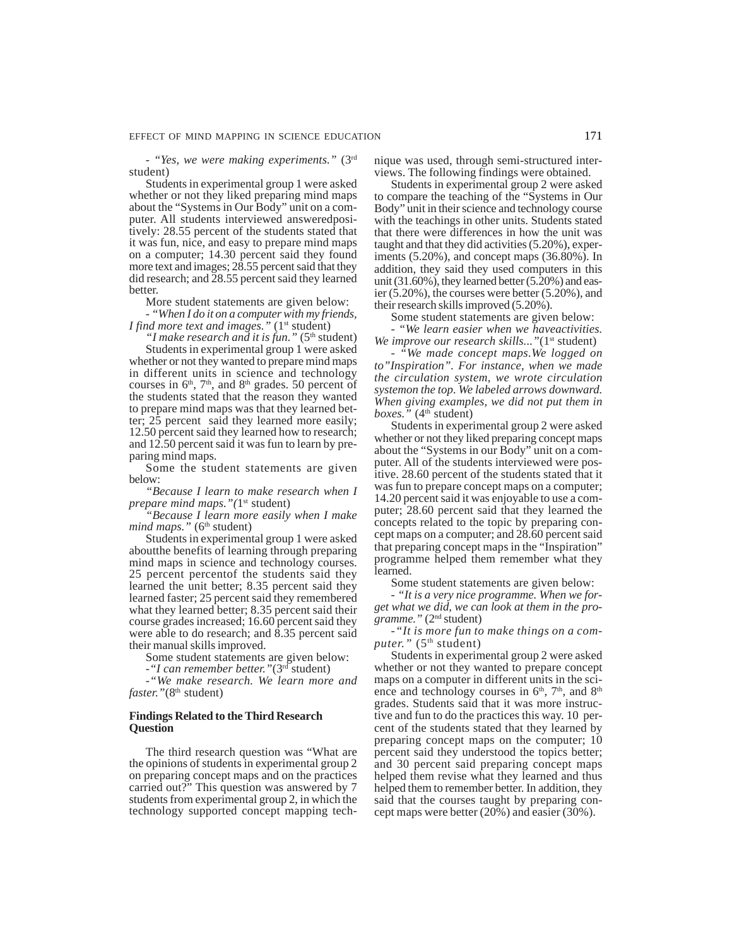*- "Yes, we were making experiments."* (3rd student)

Students in experimental group 1 were asked whether or not they liked preparing mind maps about the "Systems in Our Body" unit on a computer. All students interviewed answeredpositively: 28.55 percent of the students stated that it was fun, nice, and easy to prepare mind maps on a computer; 14.30 percent said they found more text and images; 28.55 percent said that they did research; and 28.55 percent said they learned better.

More student statements are given below:

*- "When I do it on a computer with my friends, I find more text and images.*" (1<sup>st</sup> student)

*"I make research and it is fun."* (5<sup>th</sup> student) Students in experimental group 1 were asked whether or not they wanted to prepare mind maps in different units in science and technology courses in  $6<sup>th</sup>$ ,  $7<sup>th</sup>$ , and  $8<sup>th</sup>$  grades. 50 percent of the students stated that the reason they wanted to prepare mind maps was that they learned better; 25 percent said they learned more easily; 12.50 percent said they learned how to research; and 12.50 percent said it was fun to learn by preparing mind maps.

Some the student statements are given below:

*"Because I learn to make research when I prepare mind maps.*"(1<sup>st</sup> student)

*"Because I learn more easily when I make*  $mind$  maps." ( $6<sup>th</sup>$  student)

Students in experimental group 1 were asked aboutthe benefits of learning through preparing mind maps in science and technology courses. 25 percent percentof the students said they learned the unit better; 8.35 percent said they learned faster; 25 percent said they remembered what they learned better; 8.35 percent said their course grades increased; 16.60 percent said they were able to do research; and 8.35 percent said their manual skills improved.

Some student statements are given below:

*-"I can remember better."*(3rd student)

*-"We make research. We learn more and faster.*"(8<sup>th</sup> student)

# **Findings Related to the Third Research Question**

The third research question was "What are the opinions of students in experimental group 2 on preparing concept maps and on the practices carried out?" This question was answered by 7 students from experimental group 2, in which the technology supported concept mapping technique was used, through semi-structured interviews. The following findings were obtained.

Students in experimental group 2 were asked to compare the teaching of the "Systems in Our Body" unit in their science and technology course with the teachings in other units. Students stated that there were differences in how the unit was taught and that they did activities (5.20%), experiments (5.20%), and concept maps (36.80%). In addition, they said they used computers in this unit (31.60%), they learned better (5.20%) and easier (5.20%), the courses were better (5.20%), and their research skills improved (5.20%).

Some student statements are given below:

*- "We learn easier when we haveactivities. We improve our research skills...*"(1<sup>st</sup> student)

- *"We made concept maps.We logged on to"Inspiration". For instance, when we made the circulation system, we wrote circulation systemon the top. We labeled arrows downward. When giving examples, we did not put them in*  $boxes.$ " ( $4<sup>th</sup> student$ )

Students in experimental group 2 were asked whether or not they liked preparing concept maps about the "Systems in our Body" unit on a computer. All of the students interviewed were positive. 28.60 percent of the students stated that it was fun to prepare concept maps on a computer; 14.20 percent said it was enjoyable to use a computer; 28.60 percent said that they learned the concepts related to the topic by preparing concept maps on a computer; and 28.60 percent said that preparing concept maps in the "Inspiration" programme helped them remember what they learned.

Some student statements are given below:

*- "It is a very nice programme. When we forget what we did, we can look at them in the programme."* (2nd student)

*-"It is more fun to make things on a com*puter." (5<sup>th</sup> student)

Students in experimental group 2 were asked whether or not they wanted to prepare concept maps on a computer in different units in the science and technology courses in  $6<sup>th</sup>$ ,  $7<sup>th</sup>$ , and  $8<sup>th</sup>$ grades. Students said that it was more instructive and fun to do the practices this way. 10 percent of the students stated that they learned by preparing concept maps on the computer; 10 percent said they understood the topics better; and 30 percent said preparing concept maps helped them revise what they learned and thus helped them to remember better. In addition, they said that the courses taught by preparing concept maps were better (20%) and easier (30%).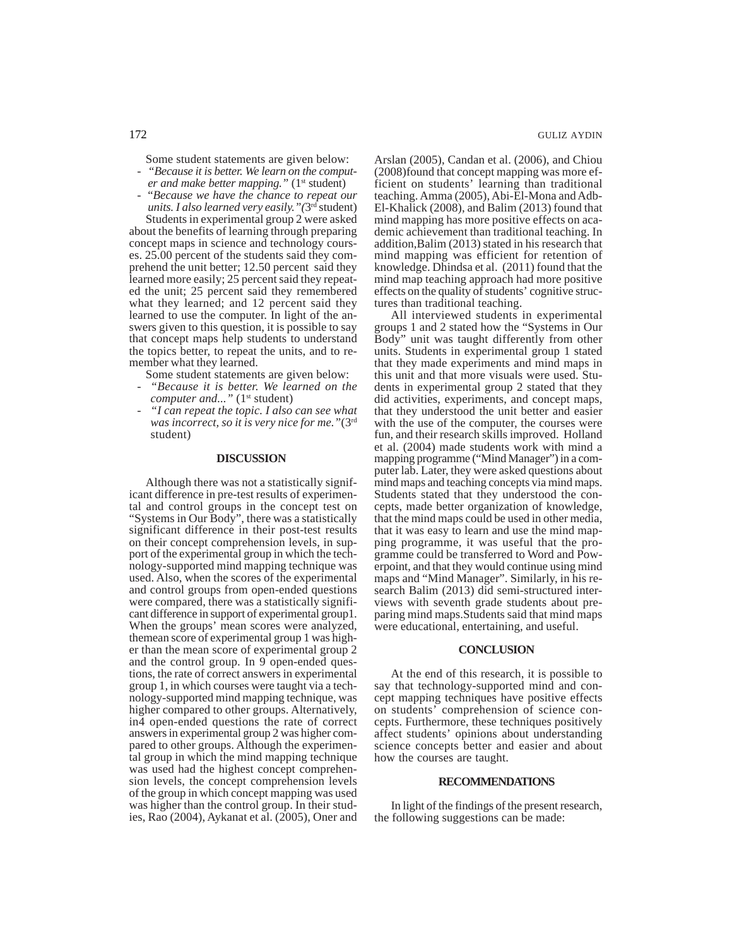Some student statements are given below:

- *"Because it is better. We learn on the computer and make better mapping.*" (1<sup>st</sup> student)
- "*Because we have the chance to repeat our units. I also learned very easily."(*3rd student)

Students in experimental group 2 were asked about the benefits of learning through preparing concept maps in science and technology courses. 25.00 percent of the students said they comprehend the unit better; 12.50 percent said they learned more easily; 25 percent said they repeated the unit; 25 percent said they remembered what they learned; and 12 percent said they learned to use the computer. In light of the answers given to this question, it is possible to say that concept maps help students to understand the topics better, to repeat the units, and to remember what they learned.

Some student statements are given below:

- *"Because it is better. We learned on the computer and...*" (1<sup>st</sup> student)
- *"I can repeat the topic. I also can see what was incorrect, so it is very nice for me."*(3rd student)

#### **DISCUSSION**

Although there was not a statistically significant difference in pre-test results of experimental and control groups in the concept test on "Systems in Our Body", there was a statistically significant difference in their post-test results on their concept comprehension levels, in support of the experimental group in which the technology-supported mind mapping technique was used. Also, when the scores of the experimental and control groups from open-ended questions were compared, there was a statistically significant difference in support of experimental group1. When the groups' mean scores were analyzed, themean score of experimental group 1 was higher than the mean score of experimental group 2 and the control group. In 9 open-ended questions, the rate of correct answers in experimental group 1, in which courses were taught via a technology-supported mind mapping technique, was higher compared to other groups. Alternatively, in4 open-ended questions the rate of correct answers in experimental group 2 was higher compared to other groups. Although the experimental group in which the mind mapping technique was used had the highest concept comprehension levels, the concept comprehension levels of the group in which concept mapping was used was higher than the control group. In their studies, Rao (2004), Aykanat et al. (2005), Oner and Arslan (2005), Candan et al. (2006), and Chiou (2008)found that concept mapping was more efficient on students' learning than traditional teaching. Amma (2005), Abi-El-Mona and Adb-El-Khalick (2008), and Balim (2013) found that mind mapping has more positive effects on academic achievement than traditional teaching. In addition,Balim (2013) stated in his research that mind mapping was efficient for retention of knowledge. Dhindsa et al. (2011) found that the mind map teaching approach had more positive effects on the quality of students' cognitive structures than traditional teaching.

All interviewed students in experimental groups 1 and 2 stated how the "Systems in Our Body" unit was taught differently from other units. Students in experimental group 1 stated that they made experiments and mind maps in this unit and that more visuals were used. Students in experimental group 2 stated that they did activities, experiments, and concept maps, that they understood the unit better and easier with the use of the computer, the courses were fun, and their research skills improved. Holland et al. (2004) made students work with mind a mapping programme ("Mind Manager") in a computer lab. Later, they were asked questions about mind maps and teaching concepts via mind maps. Students stated that they understood the concepts, made better organization of knowledge, that the mind maps could be used in other media, that it was easy to learn and use the mind mapping programme, it was useful that the programme could be transferred to Word and Powerpoint, and that they would continue using mind maps and "Mind Manager". Similarly, in his research Balim (2013) did semi-structured interviews with seventh grade students about preparing mind maps.Students said that mind maps were educational, entertaining, and useful.

#### **CONCLUSION**

At the end of this research, it is possible to say that technology-supported mind and concept mapping techniques have positive effects on students' comprehension of science concepts. Furthermore, these techniques positively affect students' opinions about understanding science concepts better and easier and about how the courses are taught.

#### **RECOMMENDATIONS**

In light of the findings of the present research, the following suggestions can be made: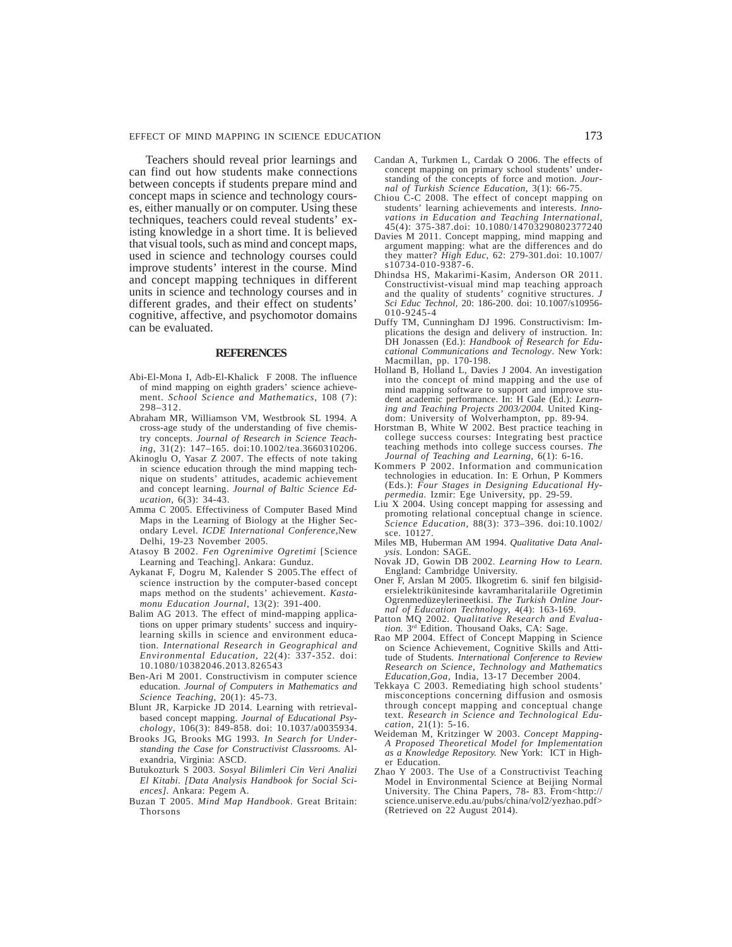Teachers should reveal prior learnings and can find out how students make connections between concepts if students prepare mind and concept maps in science and technology courses, either manually or on computer. Using these techniques, teachers could reveal students' existing knowledge in a short time. It is believed that visual tools, such as mind and concept maps, used in science and technology courses could improve students' interest in the course. Mind and concept mapping techniques in different units in science and technology courses and in different grades, and their effect on students' cognitive, affective, and psychomotor domains can be evaluated.

#### **REFERENCES**

- Abi-El-Mona I, Adb-El-Khalick F 2008. The influence of mind mapping on eighth graders' science achievement. *School Science and Mathematics*, 108 (7): 298–312.
- Abraham MR, Williamson VM, Westbrook SL 1994. A cross-age study of the understanding of five chemistry concepts. *Journal of Research in Science Teaching*, 31(2): 147–165. doi:10.1002/tea.3660310206.
- Akinoglu O, Yasar Z 2007. The effects of note taking in science education through the mind mapping technique on students' attitudes, academic achievement and concept learning. *Journal of Baltic Science Education,* 6(3): 34-43.
- Amma C 2005. Effectiviness of Computer Based Mind Maps in the Learning of Biology at the Higher Secondary Level. *ICDE International Conference,*New Delhi, 19-23 November 2005.
- Atasoy B 2002. *Fen Ogrenimive Ogretimi* [Science Learning and Teaching]. Ankara: Gunduz.
- Aykanat F, Dogru M, Kalender S 2005.The effect of science instruction by the computer-based concept maps method on the students' achievement. *Kastamonu Education Journal*, 13(2): 391-400.
- Balim AG 2013. The effect of mind-mapping applications on upper primary students' success and inquirylearning skills in science and environment education*. International Research in Geographical and Environmental Education*, 22(4): 337-352. doi: 10.1080/10382046.2013.826543
- Ben-Ari M 2001. Constructivism in computer science education. *Journal of Computers in Mathematics and Science Teaching*, 20(1): 45-73.
- Blunt JR, Karpicke JD 2014. Learning with retrievalbased concept mapping. *Journal of Educational Psychology*, 106(3): 849-858. doi: 10.1037/a0035934.
- Brooks JG, Brooks MG 1993*. In Search for Understanding the Case for Constructivist Classrooms.* Alexandria, Virginia: ASCD.
- Butukozturk S 2003. *Sosyal Bilimleri Cin Veri Analizi El Kitabi. [Data Analysis Handbook for Social Sciences].* Ankara: Pegem A.
- Buzan T 2005. *Mind Map Handbook*. Great Britain: Thorsons
- Candan A, Turkmen L, Cardak O 2006. The effects of concept mapping on primary school students' understanding of the concepts of force and motion. Jour*nal of Turkish Science Education*, 3(1): 66-75.
- Chiou C-C 2008. The effect of concept mapping on students' learning achievements and interests. *Innovations in Education and Teaching International*, 45(4): 375-387.doi: 10.1080/14703290802377240
- Davies M 2011. Concept mapping, mind mapping and argument mapping: what are the differences and do they matter? *High Educ*, 62: 279-301.doi: 10.1007/ s10734-010-9387-6.
- Dhindsa HS, Makarimi-Kasim, Anderson OR 2011. Constructivist-visual mind map teaching approach and the quality of students' cognitive structures. *J Sci Educ Technol,* 20: 186-200. doi: 10.1007/s10956- 010-9245-4
- Duffy TM, Cunningham DJ 1996. Constructivism: Implications the design and delivery of instruction. In: DH Jonassen (Ed.): *Handbook of Research for Educational Communications and Tecnology*. New York:
- Macmillan, pp. 170-198. Holland B, Holland L, Davies J 2004. An investigation into the concept of mind mapping and the use of mind mapping software to support and improve student academic performance. In: H Gale (Ed.): *Learning and Teaching Projects 2003/2004.* United King-
- dom: University of Wolverhampton, pp. 89-94. Horstman B, White W 2002. Best practice teaching in college success courses: Integrating best practice teaching methods into college success courses. *The Journal of Teaching and Learning,* 6(1): 6-16.
- Kommers P 2002. Information and communication technologies in education. In: E Orhun, P Kommers (Eds.): *Four Stages in Designing Educational Hypermedia.* Izmir: Ege University, pp. 29-59.
- Liu X 2004. Using concept mapping for assessing and promoting relational conceptual change in science. *Science Education*, 88(3): 373–396. doi:10.1002/ sce. 10127.
- Miles MB, Huberman AM 1994. *Qualitative Data Analysis*. London: SAGE.
- Novak JD, Gowin DB 2002. *Learning How to Learn*. England: Cambridge University.
- Oner F, Arslan M 2005. Ilkogretim 6. sinif fen bilgisidersielektrikünitesinde kavramharitalariile Ogretimin Ogrenmedüzeylerineetkisi. *The Turkish Online Journal of Education Technology*, 4(4): 163-169.
- Patton MQ 2002. *Qualitative Research and Evaluation*. 3<sup>rd</sup> Edition. Thousand Oaks, CA: Sage.
- Rao MP 2004. Effect of Concept Mapping in Science on Science Achievement, Cognitive Skills and Atti-tude of Students*. International Conference to Review Research on Science, Technology and Mathematics*
- *Education,Goa,* India, 13-17 December 2004. Tekkaya C 2003. Remediating high school students' misconceptions concerning diffusion and osmosis through concept mapping and conceptual change text. *Research in Science and Technological Education*, 21(1): 5-16.
- Weideman M, Kritzinger W 2003. *Concept Mapping-A Proposed Theoretical Model for Implementation as a Knowledge Repository.* New York: ICT in High-
- er Education. Zhao Y 2003. The Use of a Constructivist Teaching Model in Environmental Science at Beijing Normal University. The China Papers, 78- 83. From<http:// science.uniserve.edu.au/pubs/china/vol2/yezhao.pdf> (Retrieved on 22 August 2014).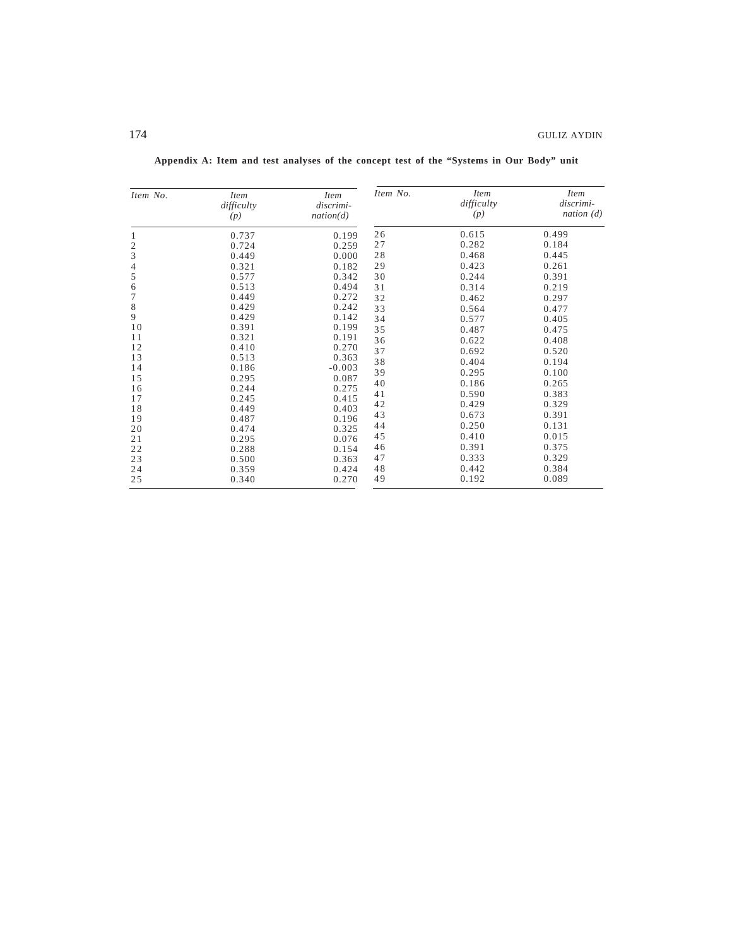| Item No.                    | <i>Item</i><br>difficulty<br>(p) | <i>Item</i><br>discrimi-<br>nation(d) | Item No. | <i>Item</i><br>difficulty<br>(p) | <i>Item</i><br>discrimi-<br>nation $(d)$ |
|-----------------------------|----------------------------------|---------------------------------------|----------|----------------------------------|------------------------------------------|
| $\mathbf{1}$                | 0.737                            | 0.199                                 | 26       | 0.615                            | 0.499                                    |
| $\mathbf{2}$                | 0.724                            | 0.259                                 | 27       | 0.282                            | 0.184                                    |
| $\ensuremath{\mathfrak{Z}}$ | 0.449                            | 0.000                                 | 28       | 0.468                            | 0.445                                    |
| 4                           | 0.321                            | 0.182                                 | 29       | 0.423                            | 0.261                                    |
| 5                           | 0.577                            | 0.342                                 | 30       | 0.244                            | 0.391                                    |
| 6                           | 0.513                            | 0.494                                 | 31       | 0.314                            | 0.219                                    |
| 7                           | 0.449                            | 0.272                                 | 32       | 0.462                            | 0.297                                    |
| $\,$ 8 $\,$                 | 0.429                            | 0.242                                 | 33       | 0.564                            | 0.477                                    |
| 9                           | 0.429                            | 0.142                                 | 34       | 0.577                            | 0.405                                    |
| 10                          | 0.391                            | 0.199                                 | 35       | 0.487                            | 0.475                                    |
| 11                          | 0.321                            | 0.191                                 | 36       | 0.622                            | 0.408                                    |
| 12                          | 0.410                            | 0.270                                 | 37       | 0.692                            | 0.520                                    |
| 13                          | 0.513                            | 0.363                                 | 38       | 0.404                            | 0.194                                    |
| 14                          | 0.186                            | $-0.003$                              | 39       | 0.295                            | 0.100                                    |
| 15                          | 0.295                            | 0.087                                 | 40       | 0.186                            | 0.265                                    |
| 16                          | 0.244                            | 0.275                                 | 41       | 0.590                            | 0.383                                    |
| 17                          | 0.245                            | 0.415                                 | 42       | 0.429                            | 0.329                                    |
| 18                          | 0.449                            | 0.403                                 | 43       | 0.673                            | 0.391                                    |
| 19                          | 0.487                            | 0.196                                 | 44       | 0.250                            | 0.131                                    |
| 20                          | 0.474                            | 0.325                                 | 45       | 0.410                            | 0.015                                    |
| 21                          | 0.295                            | 0.076                                 | 46       | 0.391                            | 0.375                                    |
| 22                          | 0.288                            | 0.154                                 | 47       | 0.333                            | 0.329                                    |
| 23<br>24                    | 0.500<br>0.359                   | 0.363                                 | 48       | 0.442                            | 0.384                                    |
| 25                          | 0.340                            | 0.424<br>0.270                        | 49       | 0.192                            | 0.089                                    |

**Appendix A: Item and test analyses of the concept test of the "Systems in Our Body" unit**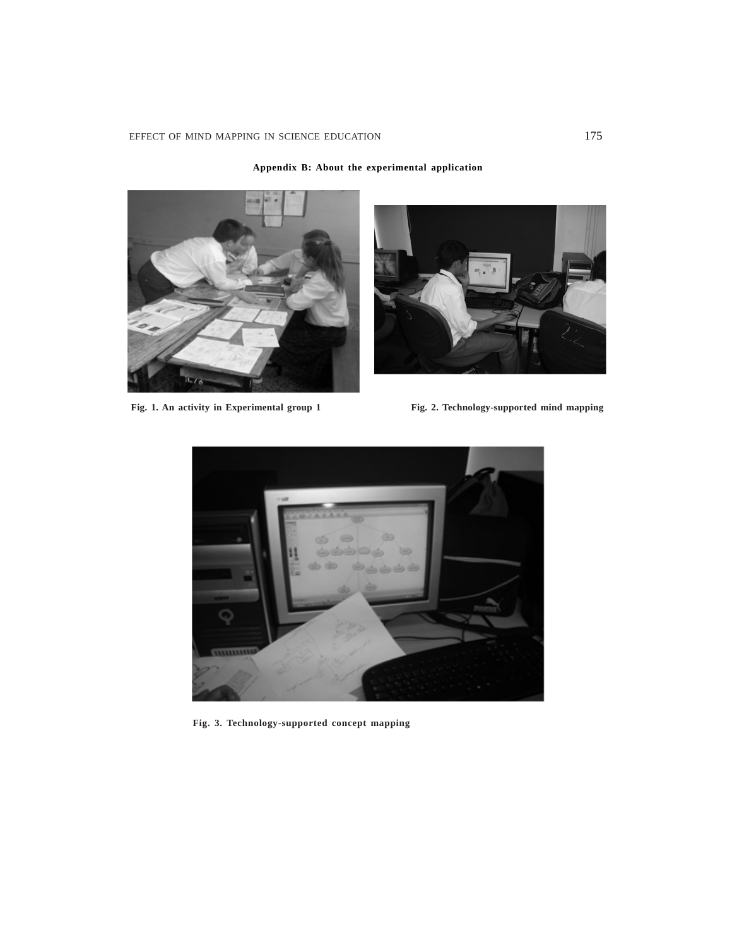



Fig. 1. An activity in Experimental group 1 Fig. 2. Technology-supported mind mapping



**Fig. 3. Technology-supported concept mapping**

# **Appendix B: About the experimental application**